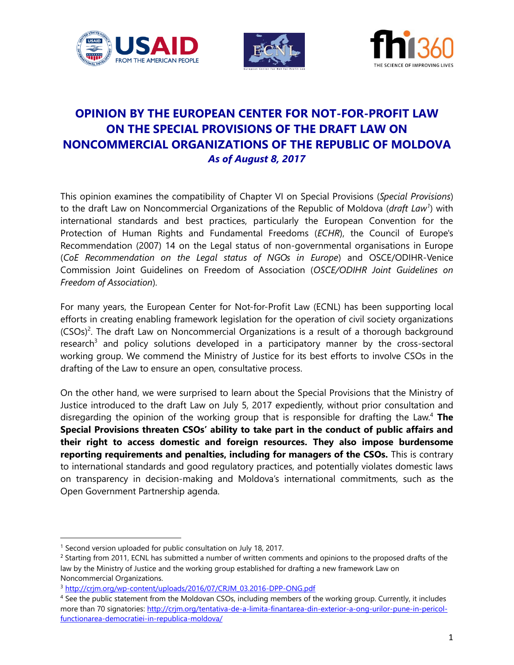





# **OPINION BY THE EUROPEAN CENTER FOR NOT-FOR-PROFIT LAW ON THE SPECIAL PROVISIONS OF THE DRAFT LAW ON NONCOMMERCIAL ORGANIZATIONS OF THE REPUBLIC OF MOLDOVA** *As of August 8, 2017*

This opinion examines the compatibility of Chapter VI on Special Provisions (*Special Provisions*) to the draft Law on Noncommercial Organizations of the Republic of Moldova (*draft Law<sup>1</sup>* ) with international standards and best practices, particularly the European Convention for the Protection of Human Rights and Fundamental Freedoms (*ECHR*), the Council of Europe's Recommendation (2007) 14 on the Legal status of non-governmental organisations in Europe (*CoE Recommendation on the Legal status of NGOs in Europe*) and OSCE/ODIHR-Venice Commission Joint Guidelines on Freedom of Association (*OSCE/ODIHR Joint Guidelines on Freedom of Association*).

For many years, the European Center for Not-for-Profit Law (ECNL) has been supporting local efforts in creating enabling framework legislation for the operation of civil society organizations  $(CSOs)<sup>2</sup>$ . The draft Law on Noncommercial Organizations is a result of a thorough background research<sup>3</sup> and policy solutions developed in a participatory manner by the cross-sectoral working group. We commend the Ministry of Justice for its best efforts to involve CSOs in the drafting of the Law to ensure an open, consultative process.

On the other hand, we were surprised to learn about the Special Provisions that the Ministry of Justice introduced to the draft Law on July 5, 2017 expediently, without prior consultation and disregarding the opinion of the working group that is responsible for drafting the Law. <sup>4</sup> **The Special Provisions threaten CSOs' ability to take part in the conduct of public affairs and their right to access domestic and foreign resources. They also impose burdensome reporting requirements and penalties, including for managers of the CSOs.** This is contrary to international standards and good regulatory practices, and potentially violates domestic laws on transparency in decision-making and Moldova's international commitments, such as the Open Government Partnership agenda.

 $\overline{\phantom{a}}$ 

<sup>&</sup>lt;sup>1</sup> Second version uploaded for public consultation on July 18, 2017.

<sup>&</sup>lt;sup>2</sup> Starting from 2011, ECNL has submitted a number of written comments and opinions to the proposed drafts of the law by the Ministry of Justice and the working group established for drafting a new framework Law on Noncommercial Organizations.

<sup>&</sup>lt;sup>3</sup> [http://crjm.org/wp-content/uploads/2016/07/CRJM\\_03.2016-DPP-ONG.pdf](http://crjm.org/wp-content/uploads/2016/07/CRJM_03.2016-DPP-ONG.pdf)

<sup>4</sup> See the public statement from the Moldovan CSOs, including members of the working group. Currently, it includes more than 70 signatories: [http://crjm.org/tentativa-de-a-limita-finantarea-din-exterior-a-ong-urilor-pune-in-pericol](http://crjm.org/tentativa-de-a-limita-finantarea-din-exterior-a-ong-urilor-pune-in-pericol-functionarea-democratiei-in-republica-moldova/)[functionarea-democratiei-in-republica-moldova/](http://crjm.org/tentativa-de-a-limita-finantarea-din-exterior-a-ong-urilor-pune-in-pericol-functionarea-democratiei-in-republica-moldova/)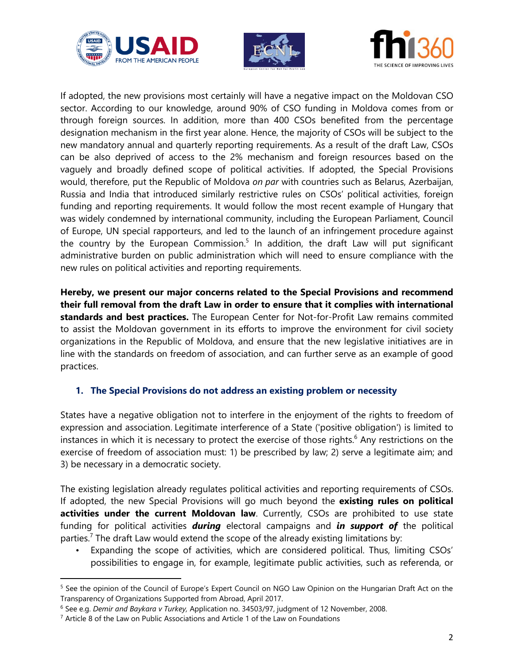





If adopted, the new provisions most certainly will have a negative impact on the Moldovan CSO sector. According to our knowledge, around 90% of CSO funding in Moldova comes from or through foreign sources. In addition, more than 400 CSOs benefited from the percentage designation mechanism in the first year alone. Hence, the majority of CSOs will be subject to the new mandatory annual and quarterly reporting requirements. As a result of the draft Law, CSOs can be also deprived of access to the 2% mechanism and foreign resources based on the vaguely and broadly defined scope of political activities. If adopted, the Special Provisions would, therefore, put the Republic of Moldova *on par* with countries such as Belarus, Azerbaijan, Russia and India that introduced similarly restrictive rules on CSOs' political activities, foreign funding and reporting requirements. It would follow the most recent example of Hungary that was widely condemned by international community, including the European Parliament, Council of Europe, UN special rapporteurs, and led to the launch of an infringement procedure against the country by the European Commission.<sup>5</sup> In addition, the draft Law will put significant administrative burden on public administration which will need to ensure compliance with the new rules on political activities and reporting requirements.

**Hereby, we present our major concerns related to the Special Provisions and recommend their full removal from the draft Law in order to ensure that it complies with international standards and best practices.** The European Center for Not-for-Profit Law remains commited to assist the Moldovan government in its efforts to improve the environment for civil society organizations in the Republic of Moldova, and ensure that the new legislative initiatives are in line with the standards on freedom of association, and can further serve as an example of good practices.

#### **1. The Special Provisions do not address an existing problem or necessity**

States have a negative obligation not to interfere in the enjoyment of the rights to freedom of expression and association. Legitimate interference of a State ('positive obligation') is limited to instances in which it is necessary to protect the exercise of those rights.<sup>6</sup> Any restrictions on the exercise of freedom of association must: 1) be prescribed by law; 2) serve a legitimate aim; and 3) be necessary in a democratic society.

The existing legislation already regulates political activities and reporting requirements of CSOs. If adopted, the new Special Provisions will go much beyond the **existing rules on political**  activities under the current Moldovan law. Currently, CSOs are prohibited to use state funding for political activities *during* electoral campaigns and *in support of* the political parties.<sup>7</sup> The draft Law would extend the scope of the already existing limitations by:

• Expanding the scope of activities, which are considered political. Thus, limiting CSOs' possibilities to engage in, for example, legitimate public activities, such as referenda, or

 $\overline{a}$ 

<sup>&</sup>lt;sup>5</sup> See the opinion of the Council of Europe's Expert Council on NGO Law Opinion on the Hungarian Draft Act on the Transparency of Organizations Supported from Abroad, April 2017.

<sup>6</sup> See e.g. *Demir and Baykara v Turkey,* Application no. 34503/97, judgment of 12 November, 2008.

<sup>7</sup> Article 8 of the Law on Public Associations and Article 1 of the Law on Foundations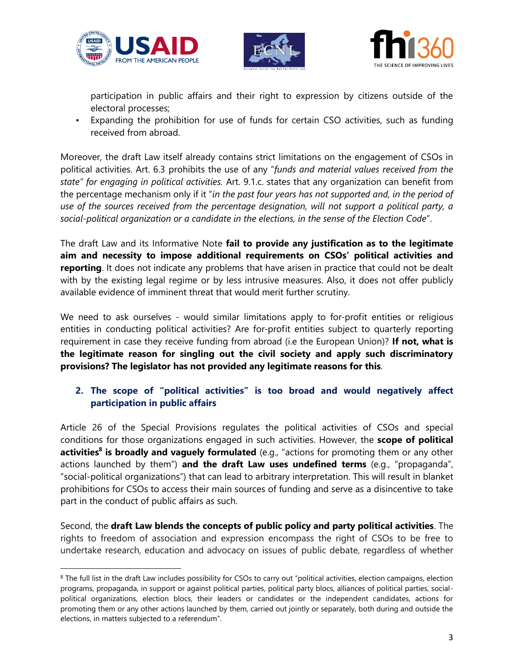

 $\overline{\phantom{a}}$ 





participation in public affairs and their right to expression by citizens outside of the electoral processes;

• Expanding the prohibition for use of funds for certain CSO activities, such as funding received from abroad.

Moreover, the draft Law itself already contains strict limitations on the engagement of CSOs in political activities. Art. 6.3 prohibits the use of any "*funds and material values received from the state" for engaging in political activities.* Art. 9.1.c. states that any organization can benefit from the percentage mechanism only if it "*in the past four years has not supported and, in the period of use of the sources received from the percentage designation, will not support a political party, a social-political organization or a candidate in the elections, in the sense of the Election Code*".

The draft Law and its Informative Note **fail to provide any justification as to the legitimate aim and necessity to impose additional requirements on CSOs' political activities and reporting**. It does not indicate any problems that have arisen in practice that could not be dealt with by the existing legal regime or by less intrusive measures. Also, it does not offer publicly available evidence of imminent threat that would merit further scrutiny.

We need to ask ourselves - would similar limitations apply to for-profit entities or religious entities in conducting political activities? Are for-profit entities subject to quarterly reporting requirement in case they receive funding from abroad (i.e the European Union)? **If not, what is the legitimate reason for singling out the civil society and apply such discriminatory provisions? The legislator has not provided any legitimate reasons for this**.

## **2. The scope of "political activities" is too broad and would negatively affect participation in public affairs**

Article 26 of the Special Provisions regulates the political activities of CSOs and special conditions for those organizations engaged in such activities. However, the **scope of political activities<sup>8</sup> is broadly and vaguely formulated** (e.g., "actions for promoting them or any other actions launched by them") **and the draft Law uses undefined terms** (e.g., "propaganda", "social-political organizations") that can lead to arbitrary interpretation. This will result in blanket prohibitions for CSOs to access their main sources of funding and serve as a disincentive to take part in the conduct of public affairs as such.

Second, the **draft Law blends the concepts of public policy and party political activities**. The rights to freedom of association and expression encompass the right of CSOs to be free to undertake research, education and advocacy on issues of public debate, regardless of whether

<sup>&</sup>lt;sup>8</sup> The full list in the draft Law includes possibility for CSOs to carry out "political activities, election campaigns, election programs, propaganda, in support or against political parties, political party blocs, alliances of political parties, socialpolitical organizations, election blocs, their leaders or candidates or the independent candidates, actions for promoting them or any other actions launched by them, carried out jointly or separately, both during and outside the elections, in matters subjected to a referendum".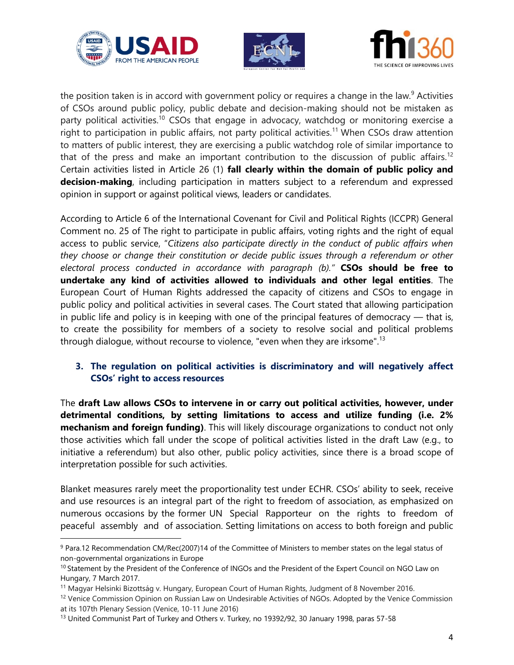

 $\overline{\phantom{a}}$ 





the position taken is in accord with government policy or requires a change in the law.<sup>9</sup> Activities of CSOs around public policy, public debate and decision-making should not be mistaken as party political activities.<sup>10</sup> CSOs that engage in advocacy, watchdog or monitoring exercise a right to participation in public affairs, not party political activities.<sup>11</sup> When CSOs draw attention to matters of public interest, they are exercising a public watchdog role of similar importance to that of the press and make an important contribution to the discussion of public affairs.<sup>12</sup> Certain activities listed in Article 26 (1) **fall clearly within the domain of public policy and decision-making**, including participation in matters subject to a referendum and expressed opinion in support or against political views, leaders or candidates.

According to Article 6 of the International Covenant for Civil and Political Rights (ICCPR) General Comment no. 25 of The right to participate in public affairs, voting rights and the right of equal access to public service, "*Citizens also participate directly in the conduct of public affairs when they choose or change their constitution or decide public issues through a referendum or other electoral process conducted in accordance with paragraph (b)."* **CSOs should be free to undertake any kind of activities allowed to individuals and other legal entities**. The European Court of Human Rights addressed the capacity of citizens and CSOs to engage in public policy and political activities in several cases. The Court stated that allowing participation in public life and policy is in keeping with one of the principal features of democracy  $-$  that is, to create the possibility for members of a society to resolve social and political problems through dialogue, without recourse to violence, "even when they are irksome".<sup>13</sup>

## **3. The regulation on political activities is discriminatory and will negatively affect CSOs' right to access resources**

The **draft Law allows CSOs to intervene in or carry out political activities, however, under detrimental conditions, by setting limitations to access and utilize funding (i.e. 2% mechanism and foreign funding)**. This will likely discourage organizations to conduct not only those activities which fall under the scope of political activities listed in the draft Law (e.g., to initiative a referendum) but also other, public policy activities, since there is a broad scope of interpretation possible for such activities.

Blanket measures rarely meet the proportionality test under ECHR. CSOs' ability to seek, receive and use resources is an integral part of the right to freedom of association, as emphasized on numerous occasions by the former UN Special Rapporteur on the rights to freedom of peaceful assembly and of association. Setting limitations on access to both foreign and public

<sup>9</sup> Para.12 Recommendation CM/Rec(2007)14 of the Committee of Ministers to member states on the legal status of non-governmental organizations in Europe

<sup>&</sup>lt;sup>10</sup> Statement by the President of the Conference of INGOs and the President of the Expert Council on NGO Law on Hungary, 7 March 2017.

<sup>11</sup> Magyar Helsinki Bizottság v. Hungary, European Court of Human Rights, Judgment of 8 November 2016.

<sup>&</sup>lt;sup>12</sup> Venice Commission Opinion on Russian Law on Undesirable Activities of NGOs. Adopted by the Venice Commission at its 107th Plenary Session (Venice, 10-11 June 2016)

<sup>&</sup>lt;sup>13</sup> United Communist Part of Turkey and Others v. Turkey, no 19392/92, 30 January 1998, paras 57-58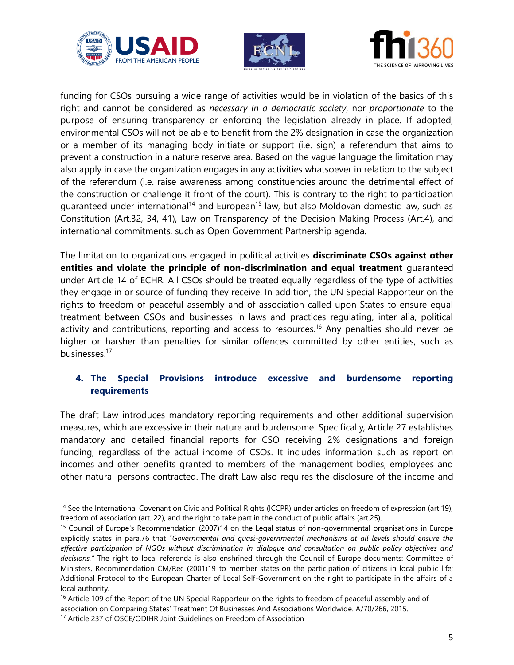





funding for CSOs pursuing a wide range of activities would be in violation of the basics of this right and cannot be considered as *necessary in a democratic society*, nor *proportionate* to the purpose of ensuring transparency or enforcing the legislation already in place. If adopted, environmental CSOs will not be able to benefit from the 2% designation in case the organization or a member of its managing body initiate or support (i.e. sign) a referendum that aims to prevent a construction in a nature reserve area. Based on the vague language the limitation may also apply in case the organization engages in any activities whatsoever in relation to the subject of the referendum (i.e. raise awareness among constituencies around the detrimental effect of the construction or challenge it front of the court). This is contrary to the right to participation guaranteed under international<sup>14</sup> and European<sup>15</sup> law, but also Moldovan domestic law, such as Constitution (Art.32, 34, 41), Law on Transparency of the Decision-Making Process (Art.4), and international commitments, such as Open Government Partnership agenda.

The limitation to organizations engaged in political activities **discriminate CSOs against other entities and violate the principle of non-discrimination and equal treatment** guaranteed under Article 14 of ECHR. All CSOs should be treated equally regardless of the type of activities they engage in or source of funding they receive. In addition, the UN Special Rapporteur on the rights to freedom of peaceful assembly and of association called upon States to ensure equal treatment between CSOs and businesses in laws and practices regulating, inter alia, political activity and contributions, reporting and access to resources.<sup>16</sup> Any penalties should never be higher or harsher than penalties for similar offences committed by other entities, such as businesses.<sup>17</sup>

## **4. The Special Provisions introduce excessive and burdensome reporting requirements**

The draft Law introduces mandatory reporting requirements and other additional supervision measures, which are excessive in their nature and burdensome. Specifically, Article 27 establishes mandatory and detailed financial reports for CSO receiving 2% designations and foreign funding, regardless of the actual income of CSOs. It includes information such as report on incomes and other benefits granted to members of the management bodies, employees and other natural persons contracted. The draft Law also requires the disclosure of the income and

 $\overline{\phantom{a}}$ 

<sup>&</sup>lt;sup>14</sup> See the International Covenant on Civic and Political Rights (ICCPR) under articles on freedom of expression (art.19), freedom of association (art. 22), and the right to take part in the conduct of public affairs (art.25).

<sup>15</sup> Council of Europe's Recommendation (2007)14 on the Legal status of non-governmental organisations in Europe explicitly states in para.76 that "*Governmental and quasi-governmental mechanisms at all levels should ensure the effective participation of NGOs without discrimination in dialogue and consultation on public policy objectives and decisions."* The right to local referenda is also enshrined through the Council of Europe documents: Committee of Ministers, Recommendation CM/Rec (2001)19 to member states on the participation of citizens in local public life; Additional Protocol to the European Charter of Local Self-Government on the right to participate in the affairs of a local authority.

<sup>&</sup>lt;sup>16</sup> Article 109 of the Report of the UN Special Rapporteur on the rights to freedom of peaceful assembly and of association on Comparing States' Treatment Of Businesses And Associations Worldwide. A/70/266, 2015.

<sup>17</sup> Article 237 of OSCE/ODIHR Joint Guidelines on Freedom of Association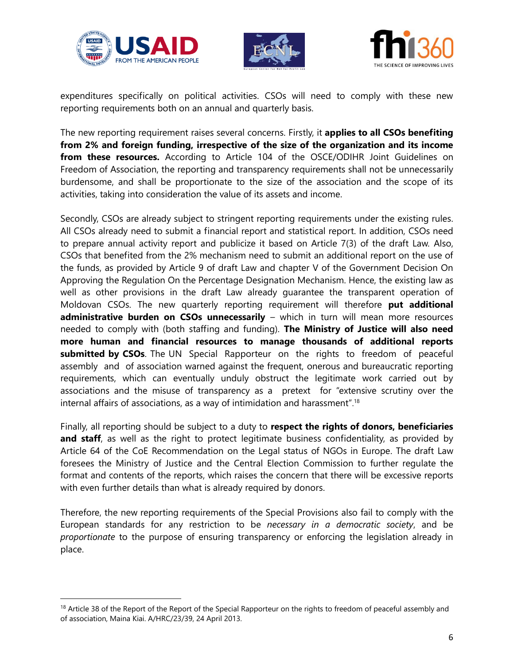

 $\overline{a}$ 





expenditures specifically on political activities. CSOs will need to comply with these new reporting requirements both on an annual and quarterly basis.

The new reporting requirement raises several concerns. Firstly, it **applies to all CSOs benefiting from 2% and foreign funding, irrespective of the size of the organization and its income from these resources.** According to Article 104 of the OSCE/ODIHR Joint Guidelines on Freedom of Association, the reporting and transparency requirements shall not be unnecessarily burdensome, and shall be proportionate to the size of the association and the scope of its activities, taking into consideration the value of its assets and income.

Secondly, CSOs are already subject to stringent reporting requirements under the existing rules. All CSOs already need to submit a financial report and statistical report. In addition, CSOs need to prepare annual activity report and publicize it based on Article 7(3) of the draft Law. Also, CSOs that benefited from the 2% mechanism need to submit an additional report on the use of the funds, as provided by Article 9 of draft Law and chapter V of the Government Decision On Approving the Regulation On the Percentage Designation Mechanism. Hence, the existing law as well as other provisions in the draft Law already guarantee the transparent operation of Moldovan CSOs. The new quarterly reporting requirement will therefore **put additional administrative burden on CSOs unnecessarily** – which in turn will mean more resources needed to comply with (both staffing and funding). **The Ministry of Justice will also need more human and financial resources to manage thousands of additional reports submitted by CSOs**. The UN Special Rapporteur on the rights to freedom of peaceful assembly and of association warned against the frequent, onerous and bureaucratic reporting requirements, which can eventually unduly obstruct the legitimate work carried out by associations and the misuse of transparency as a pretext for "extensive scrutiny over the internal affairs of associations, as a way of intimidation and harassment". 18

Finally, all reporting should be subject to a duty to **respect the rights of donors, beneficiaries**  and staff, as well as the right to protect legitimate business confidentiality, as provided by Article 64 of the CoE Recommendation on the Legal status of NGOs in Europe. The draft Law foresees the Ministry of Justice and the Central Election Commission to further regulate the format and contents of the reports, which raises the concern that there will be excessive reports with even further details than what is already required by donors.

Therefore, the new reporting requirements of the Special Provisions also fail to comply with the European standards for any restriction to be *necessary in a democratic society*, and be *proportionate* to the purpose of ensuring transparency or enforcing the legislation already in place.

<sup>&</sup>lt;sup>18</sup> Article 38 of the Report of the Report of the Special Rapporteur on the rights to freedom of peaceful assembly and of association, Maina Kiai. A/HRC/23/39, 24 April 2013.